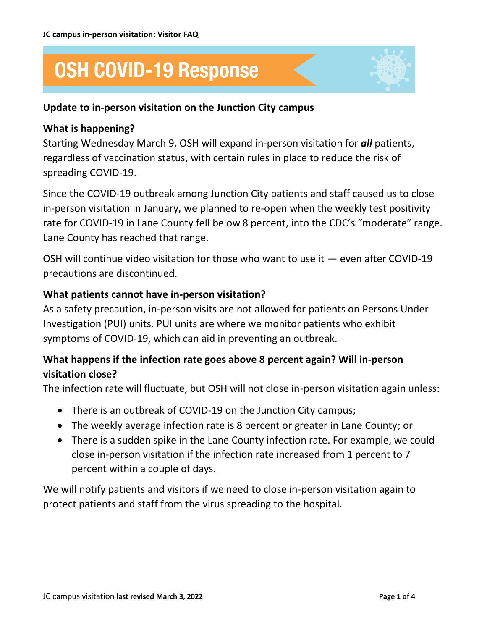# **OSH COVID-19 Response**

### **Update to in-person visitation on the Junction City campus**

#### **What is happening?**

Starting Wednesday March 9, OSH will expand in-person visitation for *all* patients, regardless of vaccination status, with certain rules in place to reduce the risk of spreading COVID-19.

Since the COVID-19 outbreak among Junction City patients and staff caused us to close in-person visitation in January, we planned to re-open when the weekly test positivity rate for COVID-19 in Lane County fell below 8 percent, into the CDC's "moderate" range. Lane County has reached that range.

OSH will continue video visitation for those who want to use it — even after COVID-19 precautions are discontinued.

#### **What patients cannot have in-person visitation?**

As a safety precaution, in-person visits are not allowed for patients on Persons Under Investigation (PUI) units. PUI units are where we monitor patients who exhibit symptoms of COVID-19, which can aid in preventing an outbreak.

# **What happens if the infection rate goes above 8 percent again? Will in-person visitation close?**

The infection rate will fluctuate, but OSH will not close in-person visitation again unless:

- There is an outbreak of COVID-19 on the Junction City campus;
- The weekly average infection rate is 8 percent or greater in Lane County; or
- There is a sudden spike in the Lane County infection rate. For example, we could close in-person visitation if the infection rate increased from 1 percent to 7 percent within a couple of days.

We will notify patients and visitors if we need to close in-person visitation again to protect patients and staff from the virus spreading to the hospital.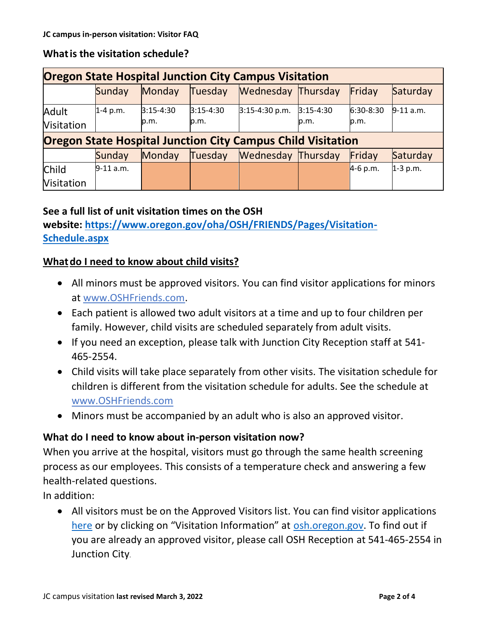# **Whatis the visitation schedule?**

| <b>Oregon State Hospital Junction City Campus Visitation</b>       |             |                       |                       |                           |                       |                     |             |
|--------------------------------------------------------------------|-------------|-----------------------|-----------------------|---------------------------|-----------------------|---------------------|-------------|
|                                                                    | Sunday      | Monday                | Tuesday               | <b>Wednesday Thursday</b> |                       | Friday              | Saturday    |
| Adult<br><b>Visitation</b>                                         | $1-4$ p.m.  | $3:15 - 4:30$<br>p.m. | $3:15 - 4:30$<br>p.m. | $3:15-4:30 p.m.$          | $3:15 - 4:30$<br>p.m. | $6:30-8:30$<br>p.m. | $9-11$ a.m. |
| <b>Oregon State Hospital Junction City Campus Child Visitation</b> |             |                       |                       |                           |                       |                     |             |
|                                                                    | Sunday      | Monday                | Tuesday               | <b>Wednesday Thursday</b> |                       | Friday              | Saturday    |
| Child                                                              | $9-11$ a.m. |                       |                       |                           |                       | $4-6 p.m.$          | $1-3$ p.m.  |
| <b>Visitation</b>                                                  |             |                       |                       |                           |                       |                     |             |

## **See a full list of unit visitation times on the OSH**

**website: [https://www.oregon.gov/oha/OSH/FRIENDS/Pages/Visitation-](https://www.oregon.gov/oha/OSH/FRIENDS/Pages/Visitation-Schedule.aspx)[Schedule.aspx](https://www.oregon.gov/oha/OSH/FRIENDS/Pages/Visitation-Schedule.aspx)**

## **Whatdo I need to know about child visits?**

- All minors must be approved visitors. You can find visitor applications for minors at [www.OSHFriends.com.](http://www.oshfriends.com/)
- Each patient is allowed two adult visitors at a time and up to four children per family. However, child visits are scheduled separately from adult visits.
- If you need an exception, please talk with Junction City Reception staff at 541- 465-2554.
- Child visits will take place separately from other visits. The visitation schedule for children is different from the visitation schedule for adults. See the schedule at [www.OSHFriends.com](http://www.oshfriends.com/)
- Minors must be accompanied by an adult who is also an approved visitor.

### **What do I need to know about in-person visitation now?**

When you arrive at the hospital, visitors must go through the same health screening process as our employees. This consists of a temperature check and answering a few health-related questions.

In addition:

• All visitors must be on the Approved Visitors list. You can find visitor applications [here](https://www.oregon.gov/oha/OSH/FRIENDS/Pages/Visiting-Rules-Hours.aspx) or by clicking on "Visitation Information" at [osh.oregon.gov.](https://www.oregon.gov/oha/osh/pages/index.aspx) To find out if you are already an approved visitor, please call OSH Reception at 541-465-2554 in Junction City.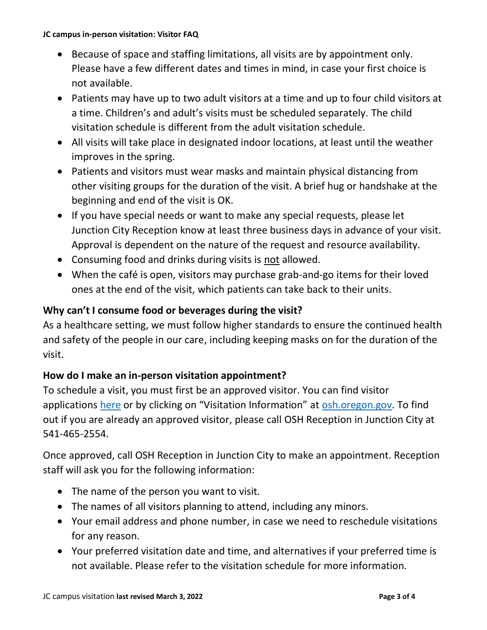#### **JC campus in-person visitation: Visitor FAQ**

- Because of space and staffing limitations, all visits are by appointment only. Please have a few different dates and times in mind, in case your first choice is not available.
- Patients may have up to two adult visitors at a time and up to four child visitors at a time. Children's and adult's visits must be scheduled separately. The child visitation schedule is different from the adult visitation schedule.
- All visits will take place in designated indoor locations, at least until the weather improves in the spring.
- Patients and visitors must wear masks and maintain physical distancing from other visiting groups for the duration of the visit. A brief hug or handshake at the beginning and end of the visit is OK.
- If you have special needs or want to make any special requests, please let Junction City Reception know at least three business days in advance of your visit. Approval is dependent on the nature of the request and resource availability.
- Consuming food and drinks during visits is not allowed.
- When the café is open, visitors may purchase grab-and-go items for their loved ones at the end of the visit, which patients can take back to their units.

## **Why can't I consume food or beverages during the visit?**

As a healthcare setting, we must follow higher standards to ensure the continued health and safety of the people in our care, including keeping masks on for the duration of the visit.

# **How do I make an in-person visitation appointment?**

To schedule a visit, you must first be an approved visitor. You can find visitor applications [here](https://www.oregon.gov/oha/OSH/FRIENDS/Pages/Visiting-Rules-Hours.aspx) or by clicking on "Visitation Information" at [osh.oregon.gov.](https://www.oregon.gov/oha/osh/pages/index.aspx) To find out if you are already an approved visitor, please call OSH Reception in Junction City at 541-465-2554.

Once approved, call OSH Reception in Junction City to make an appointment. Reception staff will ask you for the following information:

- The name of the person you want to visit.
- The names of all visitors planning to attend, including any minors.
- Your email address and phone number, in case we need to reschedule visitations for any reason.
- Your preferred visitation date and time, and alternatives if your preferred time is not available. Please refer to the visitation schedule for more information.